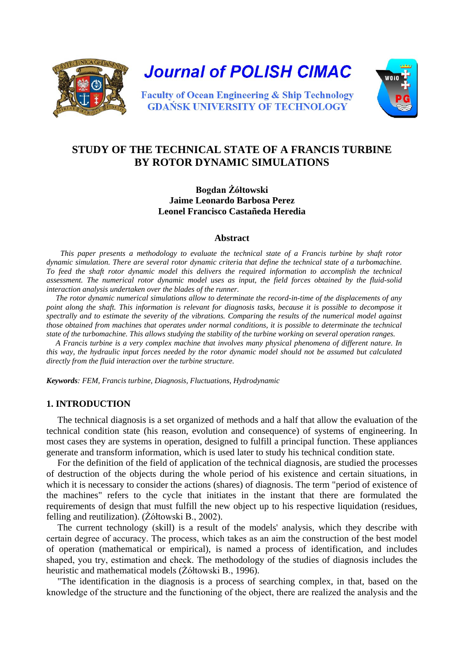

**Journal of POLISH CIMAC** 



**Faculty of Ocean Engineering & Ship Technology GDAŃSK UNIVERSITY OF TECHNOLOGY** 

# **STUDY OF THE TECHNICAL STATE OF A FRANCIS TURBINE BY ROTOR DYNAMIC SIMULATIONS**

**Bogdan Żółtowski Jaime Leonardo Barbosa Perez Leonel Francisco Castañeda Heredia**

#### **Abstract**

*This paper presents a methodology to evaluate the technical state of a Francis turbine by shaft rotor dynamic simulation. There are several rotor dynamic criteria that define the technical state of a turbomachine. To feed the shaft rotor dynamic model this delivers the required information to accomplish the technical assessment. The numerical rotor dynamic model uses as input, the field forces obtained by the fluid-solid interaction analysis undertaken over the blades of the runner.* 

*The rotor dynamic numerical simulations allow to determinate the record-in-time of the displacements of any point along the shaft. This information is relevant for diagnosis tasks, because it is possible to decompose it spectrally and to estimate the severity of the vibrations. Comparing the results of the numerical model against those obtained from machines that operates under normal conditions, it is possible to determinate the technical state of the turbomachine. This allows studying the stability of the turbine working on several operation ranges.*

*A Francis turbine is a very complex machine that involves many physical phenomena of different nature. In this way, the hydraulic input forces needed by the rotor dynamic model should not be assumed but calculated directly from the fluid interaction over the turbine structure.* 

*Keywords: FEM, Francis turbine, Diagnosis, Fluctuations, Hydrodynamic*

### **1. INTRODUCTION**

The technical diagnosis is a set organized of methods and a half that allow the evaluation of the technical condition state (his reason, evolution and consequence) of systems of engineering. In most cases they are systems in operation, designed to fulfill a principal function. These appliances generate and transform information, which is used later to study his technical condition state.

For the definition of the field of application of the technical diagnosis, are studied the processes of destruction of the objects during the whole period of his existence and certain situations, in which it is necessary to consider the actions (shares) of diagnosis. The term "period of existence of the machines" refers to the cycle that initiates in the instant that there are formulated the requirements of design that must fulfill the new object up to his respective liquidation (residues, felling and reutilization). (Żółtowski B., 2002).

The current technology (skill) is a result of the models' analysis, which they describe with certain degree of accuracy. The process, which takes as an aim the construction of the best model of operation (mathematical or empirical), is named a process of identification, and includes shaped, you try, estimation and check. The methodology of the studies of diagnosis includes the heuristic and mathematical models (Żółtowski B., 1996).

"The identification in the diagnosis is a process of searching complex, in that, based on the knowledge of the structure and the functioning of the object, there are realized the analysis and the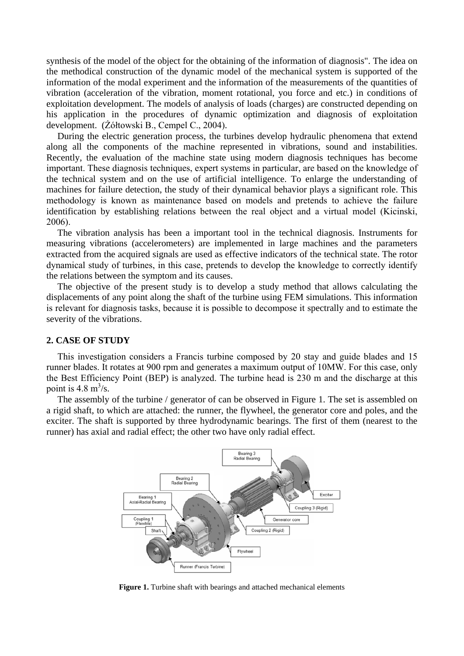synthesis of the model of the object for the obtaining of the information of diagnosis". The idea on the methodical construction of the dynamic model of the mechanical system is supported of the information of the modal experiment and the information of the measurements of the quantities of vibration (acceleration of the vibration, moment rotational, you force and etc.) in conditions of exploitation development. The models of analysis of loads (charges) are constructed depending on his application in the procedures of dynamic optimization and diagnosis of exploitation development. (Żółtowski B., Cempel C., 2004).

During the electric generation process, the turbines develop hydraulic phenomena that extend along all the components of the machine represented in vibrations, sound and instabilities. Recently, the evaluation of the machine state using modern diagnosis techniques has become important. These diagnosis techniques, expert systems in particular, are based on the knowledge of the technical system and on the use of artificial intelligence. To enlarge the understanding of machines for failure detection, the study of their dynamical behavior plays a significant role. This methodology is known as maintenance based on models and pretends to achieve the failure identification by establishing relations between the real object and a virtual model (Kicinski, 2006).

The vibration analysis has been a important tool in the technical diagnosis. Instruments for measuring vibrations (accelerometers) are implemented in large machines and the parameters extracted from the acquired signals are used as effective indicators of the technical state. The rotor dynamical study of turbines, in this case, pretends to develop the knowledge to correctly identify the relations between the symptom and its causes.

The objective of the present study is to develop a study method that allows calculating the displacements of any point along the shaft of the turbine using FEM simulations. This information is relevant for diagnosis tasks, because it is possible to decompose it spectrally and to estimate the severity of the vibrations.

### **2. CASE OF STUDY**

This investigation considers a Francis turbine composed by 20 stay and guide blades and 15 runner blades. It rotates at 900 rpm and generates a maximum output of 10MW. For this case, only the Best Efficiency Point (BEP) is analyzed. The turbine head is 230 m and the discharge at this point is  $4.8 \text{ m}^3/\text{s}$ .

The assembly of the turbine / generator of can be observed in [Figure 1.](#page-1-0) The set is assembled on a rigid shaft, to which are attached: the runner, the flywheel, the generator core and poles, and the exciter. The shaft is supported by three hydrodynamic bearings. The first of them (nearest to the runner) has axial and radial effect; the other two have only radial effect.



<span id="page-1-0"></span>**Figure 1.** Turbine shaft with bearings and attached mechanical elements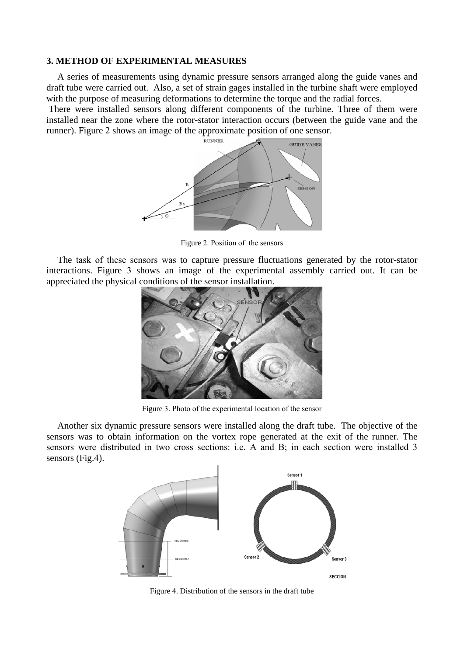## **3. METHOD OF EXPERIMENTAL MEASURES**

A series of measurements using dynamic pressure sensors arranged along the guide vanes and draft tube were carried out. Also, a set of strain gages installed in the turbine shaft were employed with the purpose of measuring deformations to determine the torque and the radial forces.

There were installed sensors along different components of the turbine. Three of them were installed near the zone where the rotor-stator interaction occurs (between the guide vane and the runner). [Figure](#page-2-0) 2 shows an image of the approximate position of one sensor.



Figure 2. Position of the sensors

<span id="page-2-0"></span>The task of these sensors was to capture pressure fluctuations generated by the rotor-stator interactions. [Figure](#page-2-1) 3 shows an image of the experimental assembly carried out. It can be appreciated the physical conditions of the sensor installation.



Figure 3. Photo of the experimental location of the sensor

<span id="page-2-1"></span>Another six dynamic pressure sensors were installed along the draft tube. The objective of the sensors was to obtain information on the vortex rope generated at the exit of the runner. The sensors were distributed in two cross sections: i.e. A and B; in each section were installed 3 sensors [\(Fig.](#page-2-2)4).



<span id="page-2-2"></span>Figure 4. Distribution of the sensors in the draft tube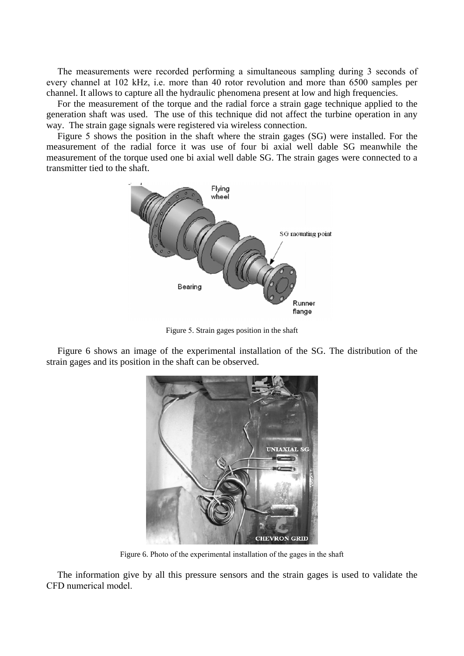The measurements were recorded performing a simultaneous sampling during 3 seconds of every channel at 102 kHz, i.e. more than 40 rotor revolution and more than 6500 samples per channel. It allows to capture all the hydraulic phenomena present at low and high frequencies.

For the measurement of the torque and the radial force a strain gage technique applied to the generation shaft was used. The use of this technique did not affect the turbine operation in any way. The strain gage signals were registered via wireless connection.

[Figure](#page-3-0) 5 shows the position in the shaft where the strain gages (SG) were installed. For the measurement of the radial force it was use of four bi axial well dable SG meanwhile the measurement of the torque used one bi axial well dable SG. The strain gages were connected to a transmitter tied to the shaft.



Figure 5. Strain gages position in the shaft

<span id="page-3-0"></span>[Figure 6](#page-3-1) shows an image of the experimental installation of the SG. The distribution of the strain gages and its position in the shaft can be observed.



Figure 6. Photo of the experimental installation of the gages in the shaft

<span id="page-3-1"></span>The information give by all this pressure sensors and the strain gages is used to validate the CFD numerical model.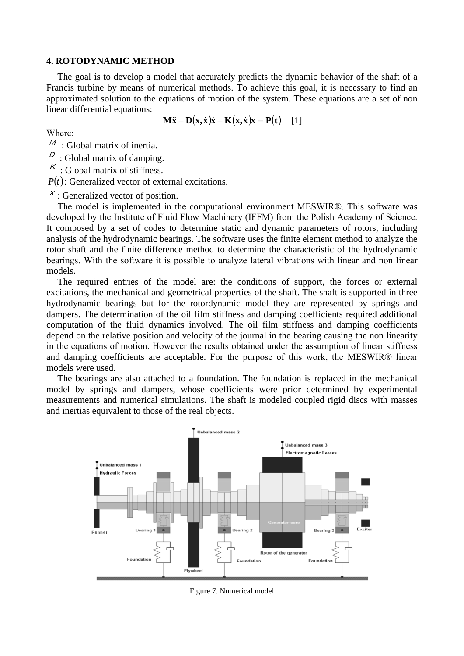### **4. ROTODYNAMIC METHOD**

The goal is to develop a model that accurately predicts the dynamic behavior of the shaft of a Francis turbine by means of numerical methods. To achieve this goal, it is necessary to find an approximated solution to the equations of motion of the system. These equations are a set of non linear differential equations:

$$
\mathbf{M}\ddot{\mathbf{x}} + \mathbf{D}(\mathbf{x}, \dot{\mathbf{x}})\dot{\mathbf{x}} + \mathbf{K}(\mathbf{x}, \dot{\mathbf{x}})\mathbf{x} = \mathbf{P}(\mathbf{t}) \quad [1]
$$

Where:

 $M$ : Global matrix of inertia.

 $D$ : Global matrix of damping.

 $\kappa$ : Global matrix of stiffness.

 $P(t)$ : Generalized vector of external excitations.

 $x$ : Generalized vector of position.

The model is implemented in the computational environment MESWIR®. This software was developed by the Institute of Fluid Flow Machinery (IFFM) from the Polish Academy of Science. It composed by a set of codes to determine static and dynamic parameters of rotors, including analysis of the hydrodynamic bearings. The software uses the finite element method to analyze the rotor shaft and the finite difference method to determine the characteristic of the hydrodynamic bearings. With the software it is possible to analyze lateral vibrations with linear and non linear models.

The required entries of the model are: the conditions of support, the forces or external excitations, the mechanical and geometrical properties of the shaft. The shaft is supported in three hydrodynamic bearings but for the rotordynamic model they are represented by springs and dampers. The determination of the oil film stiffness and damping coefficients required additional computation of the fluid dynamics involved. The oil film stiffness and damping coefficients depend on the relative position and velocity of the journal in the bearing causing the non linearity in the equations of motion. However the results obtained under the assumption of linear stiffness and damping coefficients are acceptable. For the purpose of this work, the MESWIR® linear models were used.

The bearings are also attached to a foundation. The foundation is replaced in the mechanical model by springs and dampers, whose coefficients were prior determined by experimental measurements and numerical simulations. The shaft is modeled coupled rigid discs with masses and inertias equivalent to those of the real objects.



<span id="page-4-0"></span>Figure 7. Numerical model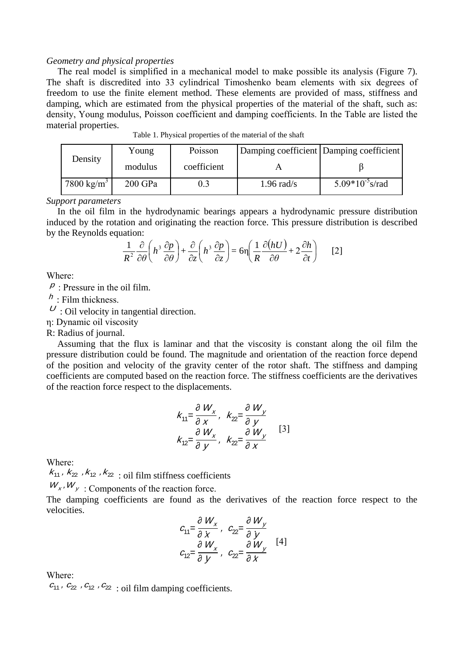#### *Geometry and physical properties*

The real model is simplified in a mechanical model to make possible its analysis ([Figure 7\)](#page-4-0). The shaft is discredited into 33 cylindrical Timoshenko beam elements with six degrees of freedom to use the finite element method. These elements are provided of mass, stiffness and damping, which are estimated from the physical properties of the material of the shaft, such as: density, Young modulus, Poisson coefficient and damping coefficients. In the Table are listed the material properties.

| Density               | Young   | Poisson     | Damping coefficient Damping coefficient |                      |
|-----------------------|---------|-------------|-----------------------------------------|----------------------|
|                       | modulus | coefficient |                                         |                      |
| $7800 \text{ kg/m}^3$ | 200 GPa |             | $1.96$ rad/s                            | $5.09*10^{-5}$ s/rad |

|  |  |  | Table 1. Physical properties of the material of the shaft |  |
|--|--|--|-----------------------------------------------------------|--|
|--|--|--|-----------------------------------------------------------|--|

*Support parameters* 

In the oil film in the hydrodynamic bearings appears a hydrodynamic pressure distribution induced by the rotation and originating the reaction force. This pressure distribution is described by the Reynolds equation:

$$
\frac{1}{R^2} \frac{\partial}{\partial \theta} \left( h^3 \frac{\partial p}{\partial \theta} \right) + \frac{\partial}{\partial z} \left( h^3 \frac{\partial p}{\partial z} \right) = 6\eta \left( \frac{1}{R} \frac{\partial (hU)}{\partial \theta} + 2 \frac{\partial h}{\partial t} \right) \tag{2}
$$

Where:

 $P$ : Pressure in the oil film.

 $h$ : Film thickness.

 $U$ : Oil velocity in tangential direction.

η: Dynamic oil viscosity

R: Radius of journal.

Assuming that the flux is laminar and that the viscosity is constant along the oil film the pressure distribution could be found. The magnitude and orientation of the reaction force depend of the position and velocity of the gravity center of the rotor shaft. The stiffness and damping coefficients are computed based on the reaction force. The stiffness coefficients are the derivatives of the reaction force respect to the displacements.

$$
k_{11} = \frac{\partial W_x}{\partial x}, \quad k_{22} = \frac{\partial W_y}{\partial y}
$$
  

$$
k_{12} = \frac{\partial W_x}{\partial y}, \quad k_{22} = \frac{\partial W_y}{\partial x}
$$
 [3]

Where:

 $k_{11}$ ,  $k_{22}$ ,  $k_{12}$ ,  $k_{22}$ ; oil film stiffness coefficients

 $W_x$ ,  $W_y$ : Components of the reaction force.

The damping coefficients are found as the derivatives of the reaction force respect to the velocities.

$$
c_{11} = \frac{\partial W_x}{\partial x}, \quad c_{22} = \frac{\partial W_y}{\partial y}
$$
  

$$
c_{12} = \frac{\partial W_x}{\partial y}, \quad c_{22} = \frac{\partial W_y}{\partial x}
$$
 [4]

Where:

 $c_{11}$ ,  $c_{22}$ ,  $c_{12}$ ,  $c_{22}$ : oil film damping coefficients.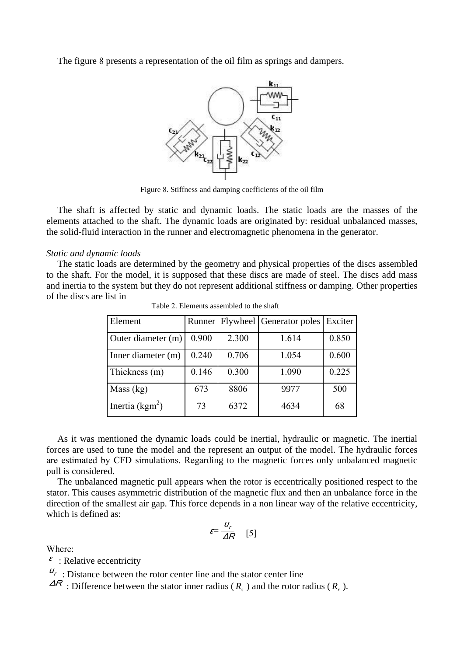The [figure](#page-6-0) 8 presents a representation of the oil film as springs and dampers.



Figure 8. Stiffness and damping coefficients of the oil film

<span id="page-6-0"></span>The shaft is affected by static and dynamic loads. The static loads are the masses of the elements attached to the shaft. The dynamic loads are originated by: residual unbalanced masses, the solid-fluid interaction in the runner and electromagnetic phenomena in the generator.

## *Static and dynamic loads*

The static loads are determined by the geometry and physical properties of the discs assembled to the shaft. For the model, it is supposed that these discs are made of steel. The discs add mass and inertia to the system but they do not represent additional stiffness or damping. Other properties of the discs are list in

| Element                    |       |       | Runner   Flywheel   Generator poles | Exciter |
|----------------------------|-------|-------|-------------------------------------|---------|
| Outer diameter (m)         | 0.900 | 2.300 | 1.614                               | 0.850   |
| Inner diameter (m)         | 0.240 | 0.706 | 1.054                               | 0.600   |
| Thickness (m)              | 0.146 | 0.300 | 1.090                               | 0.225   |
| Mass $(kg)$                | 673   | 8806  | 9977                                | 500     |
| Inertia ( $\text{kgm}^2$ ) | 73    | 6372  | 4634                                | 68      |

Table 2. Elements assembled to the shaft

As it was mentioned the dynamic loads could be inertial, hydraulic or magnetic. The inertial forces are used to tune the model and the represent an output of the model. The hydraulic forces are estimated by CFD simulations. Regarding to the magnetic forces only unbalanced magnetic pull is considered.

The unbalanced magnetic pull appears when the rotor is eccentrically positioned respect to the stator. This causes asymmetric distribution of the magnetic flux and then an unbalance force in the direction of the smallest air gap. This force depends in a non linear way of the relative eccentricity, which is defined as:

$$
\varepsilon = \frac{U_r}{\Delta R} \quad [5]
$$

Where:

 $\epsilon$ : Relative eccentricity

 $u_r$ : Distance between the rotor center line and the stator center line

 $\Delta R$ : Difference between the stator inner radius ( $R_s$ ) and the rotor radius ( $R_r$ ).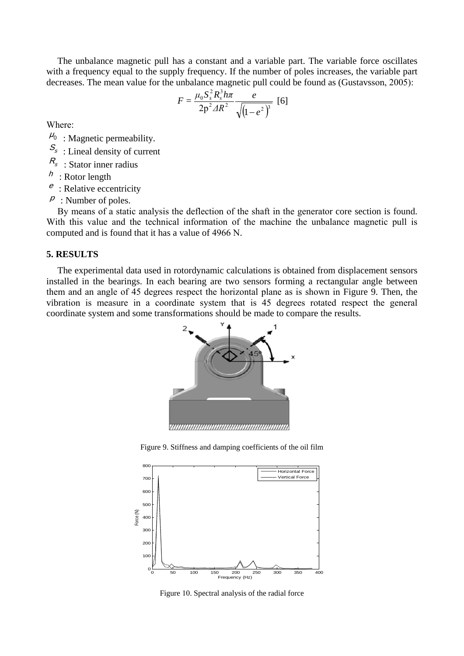The unbalance magnetic pull has a constant and a variable part. The variable force oscillates with a frequency equal to the supply frequency. If the number of poles increases, the variable part decreases. The mean value for the unbalance magnetic pull could be found as (Gustavsson, 2005):

$$
F = \frac{\mu_0 S_s^2 R_s^3 h \pi}{2p^2 A R^2} \frac{e}{\sqrt{(1 - e^2)^3}} \quad [6]
$$

Where:

 $\mu_0$ : Magnetic permeability.

 $S<sub>s</sub>$ : Lineal density of current

 $R_s$ : Stator inner radius

 $h$ : Rotor length

 $e$ : Relative eccentricity

 $P$ : Number of poles.

By means of a static analysis the deflection of the shaft in the generator core section is found. With this value and the technical information of the machine the unbalance magnetic pull is computed and is found that it has a value of 4966 N.

# **5. RESULTS**

The experimental data used in rotordynamic calculations is obtained from displacement sensors installed in the bearings. In each bearing are two sensors forming a rectangular angle between them and an angle of 45 degrees respect the horizontal plane as is shown in [Figure 9.](#page-7-0) Then, the vibration is measure in a coordinate system that is 45 degrees rotated respect the general coordinate system and some transformations should be made to compare the results.



Figure 9. Stiffness and damping coefficients of the oil film

<span id="page-7-0"></span>

Figure 10. Spectral analysis of the radial force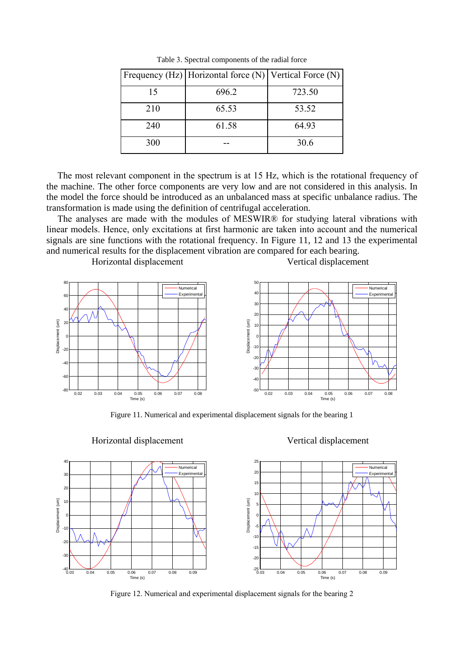|     | Frequency (Hz)   Horizontal force (N)   Vertical Force (N) |        |
|-----|------------------------------------------------------------|--------|
| 15  | 696.2                                                      | 723.50 |
| 210 | 65.53                                                      | 53.52  |
| 240 | 61.58                                                      | 64.93  |
| 300 |                                                            | 30.6   |

Table 3. Spectral components of the radial force

The most relevant component in the spectrum is at 15 Hz, which is the rotational frequency of the machine. The other force components are very low and are not considered in this analysis. In the model the force should be introduced as an unbalanced mass at specific unbalance radius. The transformation is made using the definition of centrifugal acceleration.

The analyses are made with the modules of MESWIR® for studying lateral vibrations with linear models. Hence, only excitations at first harmonic are taken into account and the numerical signals are sine functions with the rotational frequency. In [Figure 11,](#page-8-0) 12 and 13 the experimental and numerical results for the displacement vibration are compared for each bearing.

Horizontal displacement Vertical displacement



Figure 11. Numerical and experimental displacement signals for the bearing 1

<span id="page-8-0"></span>

Horizontal displacement Vertical displacement

Figure 12. Numerical and experimental displacement signals for the bearing 2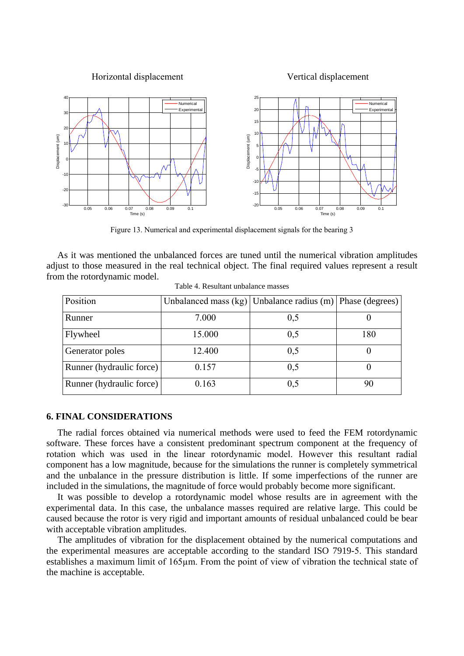Horizontal displacement Vertical displacement



Figure 13. Numerical and experimental displacement signals for the bearing 3

As it was mentioned the unbalanced forces are tuned until the numerical vibration amplitudes adjust to those measured in the real technical object. The final required values represent a result from the rotordynamic model.

| Position                 | Unbalanced mass $(kg)$ Unbalance radius $(m)$ Phase (degrees) |     |     |
|--------------------------|---------------------------------------------------------------|-----|-----|
| Runner                   | 7.000                                                         | 0,5 |     |
| Flywheel                 | 15.000                                                        | 0,5 | 180 |
| Generator poles          | 12.400                                                        | 0,5 |     |
| Runner (hydraulic force) | 0.157                                                         | 0,5 |     |
| Runner (hydraulic force) | 0.163                                                         | 0,5 |     |

Table 4. Resultant unbalance masses

## **6. FINAL CONSIDERATIONS**

The radial forces obtained via numerical methods were used to feed the FEM rotordynamic software. These forces have a consistent predominant spectrum component at the frequency of rotation which was used in the linear rotordynamic model. However this resultant radial component has a low magnitude, because for the simulations the runner is completely symmetrical and the unbalance in the pressure distribution is little. If some imperfections of the runner are included in the simulations, the magnitude of force would probably become more significant.

It was possible to develop a rotordynamic model whose results are in agreement with the experimental data. In this case, the unbalance masses required are relative large. This could be caused because the rotor is very rigid and important amounts of residual unbalanced could be bear with acceptable vibration amplitudes.

The amplitudes of vibration for the displacement obtained by the numerical computations and the experimental measures are acceptable according to the standard ISO 7919-5. This standard establishes a maximum limit of 165µm. From the point of view of vibration the technical state of the machine is acceptable.